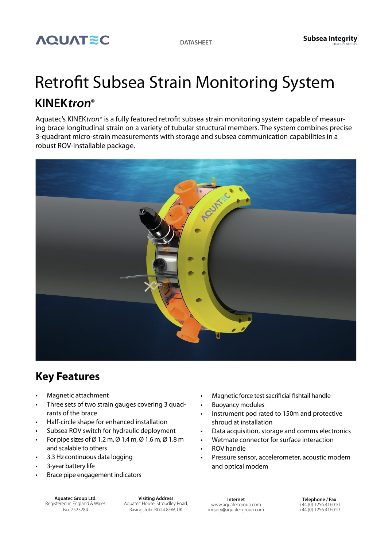

## Retrofit Subsea Strain Monitoring System **KINEKtron**®

Aquatec's KINEKtron® is a fully featured retrofit subsea strain monitoring system capable of measuring brace longitudinal strain on a variety of tubular structural members. The system combines precise 3-quadrant micro-strain measurements with storage and subsea communication capabilities in a robust ROV-installable package.



## **Key Features**

- Magnetic attachment
- Three sets of two strain gauges covering 3 quadrants of the brace
- Half-circle shape for enhanced installation
- Subsea ROV switch for hydraulic deployment
- For pipe sizes of Ø 1.2 m, Ø 1.4 m, Ø 1.6 m, Ø 1.8 m and scalable to others
- 3.3 Hz continuous data logging
- 3-year battery life
- Brace pipe engagement indicators

**Aquatec Group Ltd.** Registered in England & Wales No. 2523284

**Visiting Address** Aquatec House, Stroudley Road, Basingstoke RG24 8FW, UK

- Magnetic force test sacrificial fishtail handle
- Buoyancy modules
- Instrument pod rated to 150m and protective shroud at installation
- Data acquisition, storage and comms electronics
- Wetmate connector for surface interaction
- ROV handle
- Pressure sensor, accelerometer, acoustic modem and optical modem

**Internet** www.aquatecgroup.com inquiry@aquatecgroup.com

**Telephone / Fax** +44 (0) 1256 416010 +44 (0) 1256 416019